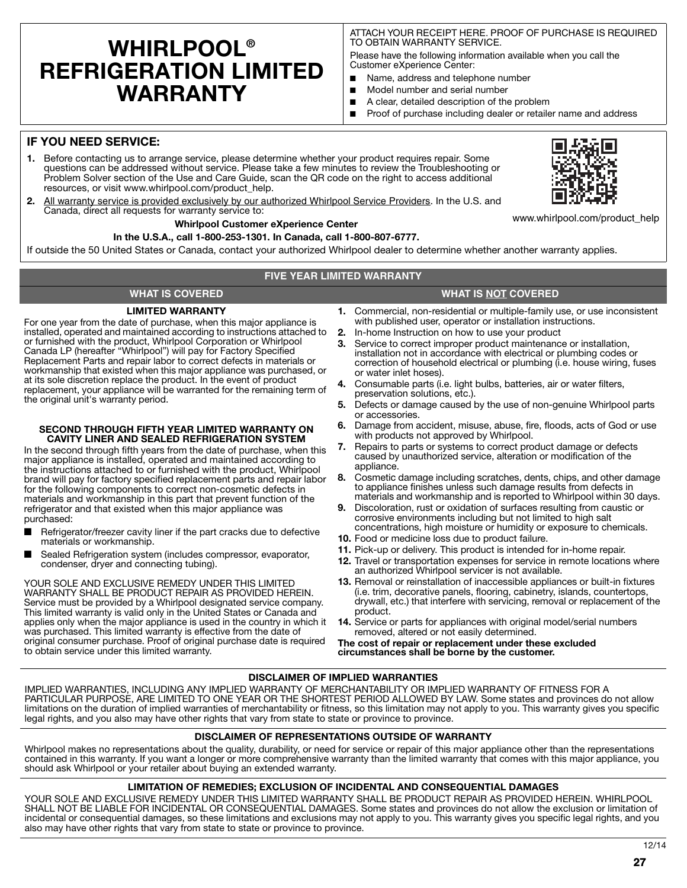# **WHIRLPOOL® REFRIGERATION LIMITED WARRANTY**

ATTACH YOUR RECEIPT HERE. PROOF OF PURCHASE IS REQUIRED TO OBTAIN WARRANTY SERVICE.

Please have the following information available when you call the Customer eXperience Center:

- Name, address and telephone number
- Model number and serial number
- A clear, detailed description of the problem
- Proof of purchase including dealer or retailer name and address

### **IF YOU NEED SERVICE:**

- **1.** Before contacting us to arrange service, please determine whether your product requires repair. Some questions can be addressed without service. Please take a few minutes to review the Troubleshooting or Problem Solver section of the Use and Care Guide, scan the QR code on the right to access additional resources, or visit www.whirlpool.com/product\_help.
- **2.** All warranty service is provided exclusively by our authorized Whirlpool Service Providers. In the U.S. and Canada, direct all requests for warranty service to:

#### **Whirlpool Customer eXperience Center**

**In the U.S.A., call 1-800-253-1301. In Canada, call 1-800-807-6777.**

If outside the 50 United States or Canada, contact your authorized Whirlpool dealer to determine whether another warranty applies.

### **FIVE YEAR LIMITED WARRANTY**

### **WHAT IS COVERED WHAT IS NOT COVERED**

#### **LIMITED WARRANTY**

For one year from the date of purchase, when this major appliance is installed, operated and maintained according to instructions attached to or furnished with the product, Whirlpool Corporation or Whirlpool Canada LP (hereafter "Whirlpool") will pay for Factory Specified Replacement Parts and repair labor to correct defects in materials or workmanship that existed when this major appliance was purchased, or at its sole discretion replace the product. In the event of product replacement, your appliance will be warranted for the remaining term of the original unit's warranty period.

#### **SECOND THROUGH FIFTH YEAR LIMITED WARRANTY ON CAVITY LINER AND SEALED REFRIGERATION SYSTEM**

In the second through fifth years from the date of purchase, when this major appliance is installed, operated and maintained according to the instructions attached to or furnished with the product, Whirlpool brand will pay for factory specified replacement parts and repair labor for the following components to correct non-cosmetic defects in materials and workmanship in this part that prevent function of the refrigerator and that existed when this major appliance was purchased:

- Refrigerator/freezer cavity liner if the part cracks due to defective materials or workmanship.
- Sealed Refrigeration system (includes compressor, evaporator, condenser, dryer and connecting tubing).

YOUR SOLE AND EXCLUSIVE REMEDY UNDER THIS LIMITED WARRANTY SHALL BE PRODUCT REPAIR AS PROVIDED HEREIN. Service must be provided by a Whirlpool designated service company. This limited warranty is valid only in the United States or Canada and applies only when the major appliance is used in the country in which it was purchased. This limited warranty is effective from the date of original consumer purchase. Proof of original purchase date is required to obtain service under this limited warranty.

- 
- **1.** Commercial, non-residential or multiple-family use, or use inconsistent with published user, operator or installation instructions.
- **2.** In-home Instruction on how to use your product
- **3.** Service to correct improper product maintenance or installation, installation not in accordance with electrical or plumbing codes or correction of household electrical or plumbing (i.e. house wiring, fuses or water inlet hoses).
- **4.** Consumable parts (i.e. light bulbs, batteries, air or water filters, preservation solutions, etc.).
- **5.** Defects or damage caused by the use of non-genuine Whirlpool parts or accessories.
- **6.** Damage from accident, misuse, abuse, fire, floods, acts of God or use with products not approved by Whirlpool.
- **7.** Repairs to parts or systems to correct product damage or defects caused by unauthorized service, alteration or modification of the appliance
- **8.** Cosmetic damage including scratches, dents, chips, and other damage to appliance finishes unless such damage results from defects in materials and workmanship and is reported to Whirlpool within 30 days.
- **9.** Discoloration, rust or oxidation of surfaces resulting from caustic or corrosive environments including but not limited to high salt concentrations, high moisture or humidity or exposure to chemicals.
- **10.** Food or medicine loss due to product failure.
- **11.** Pick-up or delivery. This product is intended for in-home repair.
- **12.** Travel or transportation expenses for service in remote locations where an authorized Whirlpool servicer is not available.
- **13.** Removal or reinstallation of inaccessible appliances or built-in fixtures (i.e. trim, decorative panels, flooring, cabinetry, islands, countertops, drywall, etc.) that interfere with servicing, removal or replacement of the product.
- **14.** Service or parts for appliances with original model/serial numbers removed, altered or not easily determined.

**The cost of repair or replacement under these excluded circumstances shall be borne by the customer.** 

### **DISCLAIMER OF IMPLIED WARRANTIES**

IMPLIED WARRANTIES, INCLUDING ANY IMPLIED WARRANTY OF MERCHANTABILITY OR IMPLIED WARRANTY OF FITNESS FOR A PARTICULAR PURPOSE, ARE LIMITED TO ONE YEAR OR THE SHORTEST PERIOD ALLOWED BY LAW. Some states and provinces do not allow limitations on the duration of implied warranties of merchantability or fitness, so this limitation may not apply to you. This warranty gives you specific legal rights, and you also may have other rights that vary from state to state or province to province.

#### **DISCLAIMER OF REPRESENTATIONS OUTSIDE OF WARRANTY**

Whirlpool makes no representations about the quality, durability, or need for service or repair of this maior appliance other than the representations contained in this warranty. If you want a longer or more comprehensive warranty than the limited warranty that comes with this major appliance, you should ask Whirlpool or your retailer about buying an extended warranty.

#### **LIMITATION OF REMEDIES; EXCLUSION OF INCIDENTAL AND CONSEQUENTIAL DAMAGES**

YOUR SOLE AND EXCLUSIVE REMEDY UNDER THIS LIMITED WARRANTY SHALL BE PRODUCT REPAIR AS PROVIDED HEREIN. WHIRLPOOL SHALL NOT BE LIABLE FOR INCIDENTAL OR CONSEQUENTIAL DAMAGES. Some states and provinces do not allow the exclusion or limitation of incidental or consequential damages, so these limitations and exclusions may not apply to you. This warranty gives you specific legal rights, and you also may have other rights that vary from state to state or province to province.





www.whirlpool.com/product\_help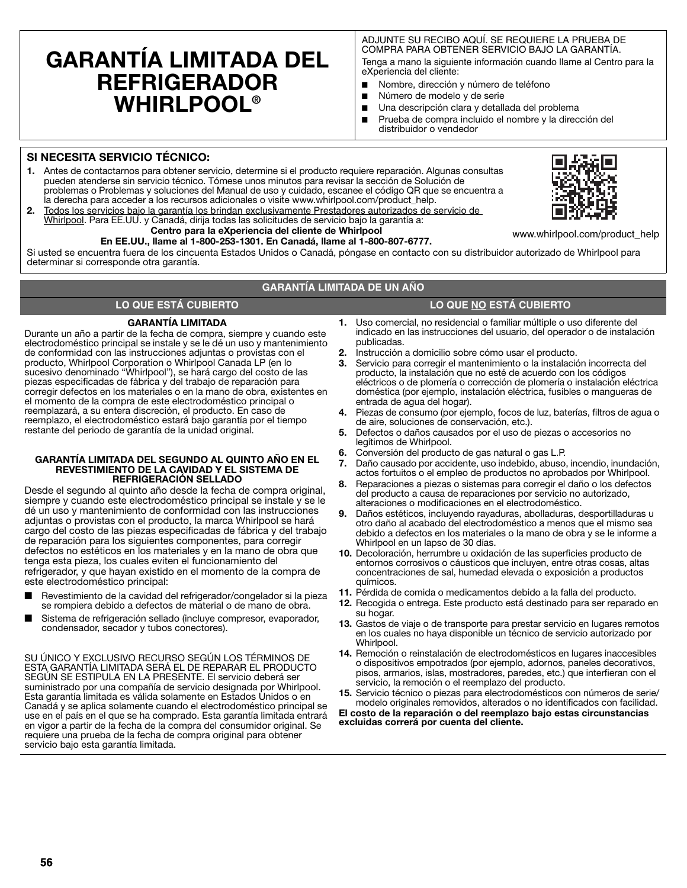# **GARANTÍA LIMITADA DEL REFRIGERADOR WHIRLPOOL®**

#### ADJUNTE SU RECIBO AQUÍ. SE REQUIERE LA PRUEBA DE COMPRA PARA OBTENER SERVICIO BAJO LA GARANTÍA.

Tenga a mano la siguiente información cuando llame al Centro para la eXperiencia del cliente:

- Nombre, dirección y número de teléfono
- Número de modelo y de serie
- Una descripción clara y detallada del problema
- Prueba de compra incluido el nombre y la dirección del distribuidor o vendedor

#### **SI NECESITA SERVICIO TÉCNICO:**

- **1.** Antes de contactarnos para obtener servicio, determine si el producto requiere reparación. Algunas consultas pueden atenderse sin servicio técnico. Tómese unos minutos para revisar la sección de Solución de problemas o Problemas y soluciones del Manual de uso y cuidado, escanee el código QR que se encuentra a la derecha para acceder a los recursos adicionales o visite www.whirlpool.com/product\_help.
- **2.** Todos los servicios bajo la garantía los brindan exclusivamente Prestadores autorizados de servicio de Whirlpool. Para EE.UU. y Canadá, dirija todas las solicitudes de servicio bajo la garantía a:

#### **Centro para la eXperiencia del cliente de Whirlpool En EE.UU., llame al 1-800-253-1301. En Canadá, llame al 1-800-807-6777.**

www.whirlpool.com/product\_help

Si usted se encuentra fuera de los cincuenta Estados Unidos o Canadá, póngase en contacto con su distribuidor autorizado de Whirlpool para determinar si corresponde otra garantía.

#### **GARANTÍA LIMITADA DE UN AÑO**

#### **LO QUE ESTÁ CUBIERTO LO QUE NO ESTÁ CUBIERTO**

#### **GARANTÍA LIMITADA**

Durante un año a partir de la fecha de compra, siempre y cuando este electrodoméstico principal se instale y se le dé un uso y mantenimiento de conformidad con las instrucciones adjuntas o provistas con el producto, Whirlpool Corporation o Whirlpool Canada LP (en lo sucesivo denominado "Whirlpool"), se hará cargo del costo de las piezas especificadas de fábrica y del trabajo de reparación para corregir defectos en los materiales o en la mano de obra, existentes en el momento de la compra de este electrodoméstico principal o reemplazará, a su entera discreción, el producto. En caso de reemplazo, el electrodoméstico estará bajo garantía por el tiempo restante del periodo de garantía de la unidad original.

#### **GARANTÍA LIMITADA DEL SEGUNDO AL QUINTO AÑO EN EL REVESTIMIENTO DE LA CAVIDAD Y EL SISTEMA DE REFRIGERACIÓN SELLADO**

Desde el segundo al quinto año desde la fecha de compra original, siempre y cuando este electrodoméstico principal se instale y se le dé un uso y mantenimiento de conformidad con las instrucciones adjuntas o provistas con el producto, la marca Whirlpool se hará cargo del costo de las piezas especificadas de fábrica y del trabajo de reparación para los siguientes componentes, para corregir defectos no estéticos en los materiales y en la mano de obra que tenga esta pieza, los cuales eviten el funcionamiento del refrigerador, y que hayan existido en el momento de la compra de este electrodoméstico principal:

- Revestimiento de la cavidad del refrigerador/congelador si la pieza se rompiera debido a defectos de material o de mano de obra.
- Sistema de refrigeración sellado (incluye compresor, evaporador, condensador, secador y tubos conectores).

SU ÚNICO Y EXCLUSIVO RECURSO SEGÚN LOS TÉRMINOS DE ESTA GARANTÍA LIMITADA SERÁ EL DE REPARAR EL PRODUCTO SEGÚN SE ESTIPULA EN LA PRESENTE. El servicio deberá ser suministrado por una compañía de servicio designada por Whirlpool. Esta garantía limitada es válida solamente en Estados Unidos o en Canadá y se aplica solamente cuando el electrodoméstico principal se use en el país en el que se ha comprado. Esta garantía limitada entrará en vigor a partir de la fecha de la compra del consumidor original. Se requiere una prueba de la fecha de compra original para obtener servicio bajo esta garantía limitada.

- **1.** Uso comercial, no residencial o familiar múltiple o uso diferente del indicado en las instrucciones del usuario, del operador o de instalación publicadas.
- **2.** Instrucción a domicilio sobre cómo usar el producto.
- **3.** Servicio para corregir el mantenimiento o la instalación incorrecta del producto, la instalación que no esté de acuerdo con los códigos eléctricos o de plomería o corrección de plomería o instalación eléctrica doméstica (por ejemplo, instalación eléctrica, fusibles o mangueras de entrada de agua del hogar).
- **4.** Piezas de consumo (por ejemplo, focos de luz, baterías, filtros de agua o de aire, soluciones de conservación, etc.).
- **5.** Defectos o daños causados por el uso de piezas o accesorios no legítimos de Whirlpool.
- **6.** Conversión del producto de gas natural o gas L.P.
- **7.** Daño causado por accidente, uso indebido, abuso, incendio, inundación, actos fortuitos o el empleo de productos no aprobados por Whirlpool.
- **8.** Reparaciones a piezas o sistemas para corregir el daño o los defectos del producto a causa de reparaciones por servicio no autorizado, alteraciones o modificaciones en el electrodoméstico.
- **9.** Daños estéticos, incluyendo rayaduras, abolladuras, desportilladuras u otro daño al acabado del electrodoméstico a menos que el mismo sea debido a defectos en los materiales o la mano de obra y se le informe a Whirlpool en un lapso de 30 días.
- **10.** Decoloración, herrumbre u oxidación de las superficies producto de entornos corrosivos o cáusticos que incluyen, entre otras cosas, altas concentraciones de sal, humedad elevada o exposición a productos químicos.
- **11.** Pérdida de comida o medicamentos debido a la falla del producto.
- **12.** Recogida o entrega. Este producto está destinado para ser reparado en su hogar.
- **13.** Gastos de viaje o de transporte para prestar servicio en lugares remotos en los cuales no haya disponible un técnico de servicio autorizado por Whirlpool.
- **14.** Remoción o reinstalación de electrodomésticos en lugares inaccesibles o dispositivos empotrados (por ejemplo, adornos, paneles decorativos, pisos, armarios, islas, mostradores, paredes, etc.) que interfieran con el servicio, la remoción o el reemplazo del producto.
- **15.** Servicio técnico o piezas para electrodomésticos con números de serie/ modelo originales removidos, alterados o no identificados con facilidad.

**El costo de la reparación o del reemplazo bajo estas circunstancias excluidas correrá por cuenta del cliente.** 

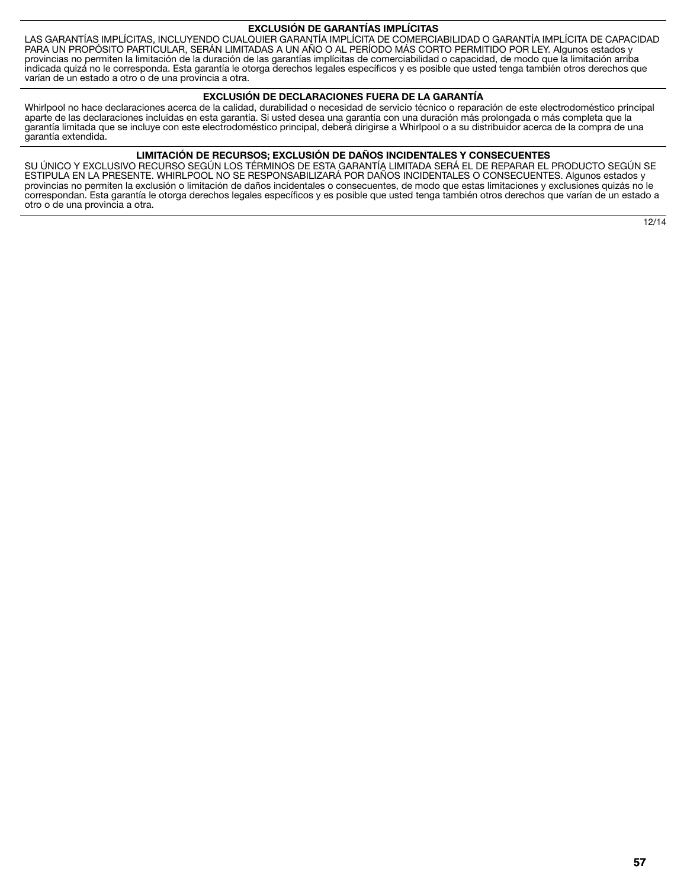#### **EXCLUSIÓN DE GARANTÍAS IMPLÍCITAS**

LAS GARANTÍAS IMPLÍCITAS, INCLUYENDO CUALQUIER GARANTÍA IMPLÍCITA DE COMERCIABILIDAD O GARANTÍA IMPLÍCITA DE CAPACIDAD PARA UN PROPÓSITO PARTICULAR, SERÁN LIMITADAS A UN AÑO O AL PERÍODO MÁS CORTO PERMITIDO POR LEY. Algunos estados y provincias no permiten la limitación de la duración de las garantías implícitas de comerciabilidad o capacidad, de modo que la limitación arriba indicada quizá no le corresponda. Esta garantía le otorga derechos legales específicos y es posible que usted tenga también otros derechos que varían de un estado a otro o de una provincia a otra.

#### **EXCLUSIÓN DE DECLARACIONES FUERA DE LA GARANTÍA**

Whirlpool no hace declaraciones acerca de la calidad, durabilidad o necesidad de servicio técnico o reparación de este electrodoméstico principal aparte de las declaraciones incluidas en esta garantía. Si usted desea una garantía con una duración más prolongada o más completa que la garantía limitada que se incluye con este electrodoméstico principal, deberá dirigirse a Whirlpool o a su distribuidor acerca de la compra de una garantía extendida.

#### **LIMITACIÓN DE RECURSOS; EXCLUSIÓN DE DAÑOS INCIDENTALES Y CONSECUENTES**

SU ÚNICO Y EXCLUSIVO RECURSO SEGÚN LOS TÉRMINOS DE ESTA GARANTÍA LIMITADA SERÁ EL DE REPARAR EL PRODUCTO SEGÚN SE ESTIPULA EN LA PRESENTE. WHIRLPOOL NO SE RESPONSABILIZARÁ POR DAÑOS INCIDENTALES O CONSECUENTES. Algunos estados y provincias no permiten la exclusión o limitación de daños incidentales o consecuentes, de modo que estas limitaciones y exclusiones quizás no le correspondan. Esta garantía le otorga derechos legales específicos y es posible que usted tenga también otros derechos que varían de un estado a otro o de una provincia a otra.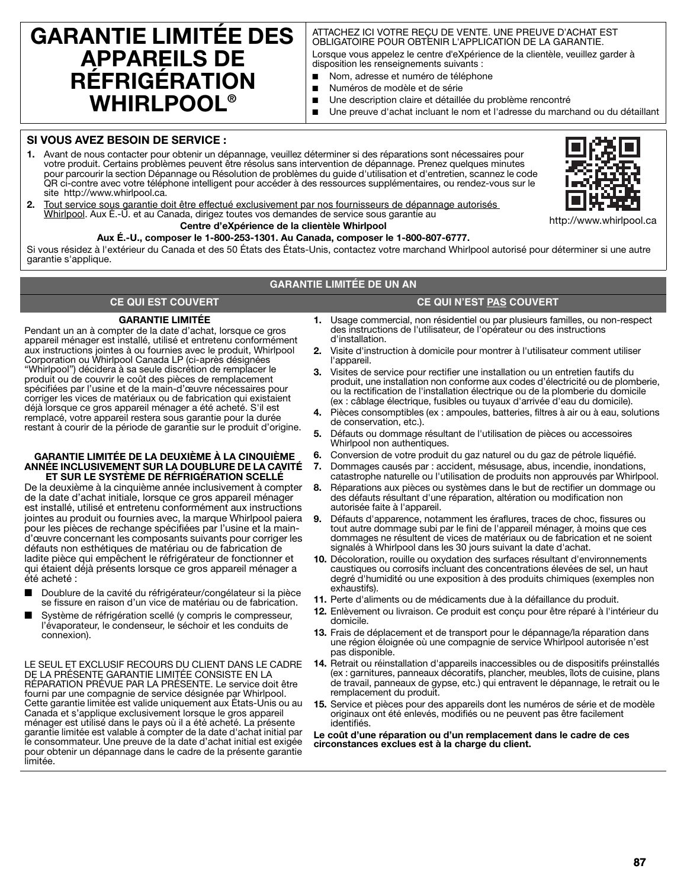## **GARANTIE LIMITÉE DES APPAREILS DE RÉFRIGÉRATION WHIRLPOOL®**

#### ATTACHEZ ICI VOTRE REÇU DE VENTE. UNE PREUVE D'ACHAT EST OBLIGATOIRE POUR OBTENIR L'APPLICATION DE LA GARANTIE.

Lorsque vous appelez le centre d'eXpérience de la clientèle, veuillez garder à disposition les renseignements suivants :

- Nom, adresse et numéro de téléphone
- Numéros de modèle et de série
- Une description claire et détaillée du problème rencontré
- Une preuve d'achat incluant le nom et l'adresse du marchand ou du détaillant

#### **SI VOUS AVEZ BESOIN DE SERVICE :**

**1.** Avant de nous contacter pour obtenir un dépannage, veuillez déterminer si des réparations sont nécessaires pour votre produit. Certains problèmes peuvent être résolus sans intervention de dépannage. Prenez quelques minutes pour parcourir la section Dépannage ou Résolution de problèmes du guide d'utilisation et d'entretien, scannez le code QR ci-contre avec votre téléphone intelligent pour accéder à des ressources supplémentaires, ou rendez-vous sur le site http://www.whirlpool.ca.



**2.** Tout service sous garantie doit être effectué exclusivement par nos fournisseurs de dépannage autorisés Whirlpool. Aux É.-U. et au Canada, dirigez toutes vos demandes de service sous garantie au **Centre d'eXpérience de la clientèle Whirlpool**

## **Aux É.-U., composer le 1-800-253-1301. Au Canada, composer le 1-800-807-6777.**

Si vous résidez à l'extérieur du Canada et des 50 États des États-Unis, contactez votre marchand Whirlpool autorisé pour déterminer si une autre garantie s'applique.

#### **GARANTIE LIMITÉE DE UN AN**

#### **CE QUI EST COUVERT CE QUI N'EST PAS COUVERT**

## **GARANTIE LIMITÉE**

Pendant un an à compter de la date d'achat, lorsque ce gros appareil ménager est installé, utilisé et entretenu conformément aux instructions jointes à ou fournies avec le produit, Whirlpool Corporation ou Whirlpool Canada LP (ci-après désignées "Whirlpool") décidera à sa seule discrétion de remplacer le produit ou de couvrir le coût des pièces de remplacement spécifiées par l'usine et de la main-d'œuvre nécessaires pour corriger les vices de matériaux ou de fabrication qui existaient déjà lorsque ce gros appareil ménager a été acheté. S'il est remplacé, votre appareil restera sous garantie pour la durée restant à courir de la période de garantie sur le produit d'origine.

#### **GARANTIE LIMITÉE DE LA DEUXIÈME À LA CINQUIÈME ANNÉE INCLUSIVEMENT SUR LA DOUBLURE DE LA CAVITÉ ET SUR LE SYSTÈME DE RÉFRIGÉRATION SCELLÉ**

De la deuxième à la cinquième année inclusivement à compter de la date d'achat initiale, lorsque ce gros appareil ménager est installé, utilisé et entretenu conformément aux instructions jointes au produit ou fournies avec, la marque Whirlpool paiera pour les pièces de rechange spécifiées par l'usine et la maind'œuvre concernant les composants suivants pour corriger les défauts non esthétiques de matériau ou de fabrication de ladite pièce qui empêchent le réfrigérateur de fonctionner et qui étaient déjà présents lorsque ce gros appareil ménager a été acheté :

- Doublure de la cavité du réfrigérateur/congélateur si la pièce se fissure en raison d'un vice de matériau ou de fabrication.
- Système de réfrigération scellé (y compris le compresseur, l'évaporateur, le condenseur, le séchoir et les conduits de connexion).

LE SEUL ET EXCLUSIF RECOURS DU CLIENT DANS LE CADRE DE LA PRÉSENTE GARANTIE LIMITÉE CONSISTE EN LA RÉPARATION PRÉVUE PAR LA PRÉSENTE. Le service doit être fourni par une compagnie de service désignée par Whirlpool. Cette garantie limitée est valide uniquement aux États-Unis ou au Canada et s'applique exclusivement lorsque le gros appareil ménager est utilisé dans le pays où il a été acheté. La présente garantie limitée est valable à compter de la date d'achat initial par le consommateur. Une preuve de la date d'achat initial est exigée pour obtenir un dépannage dans le cadre de la présente garantie limitée.

- **1.** Usage commercial, non résidentiel ou par plusieurs familles, ou non-respect des instructions de l'utilisateur, de l'opérateur ou des instructions d'installation.
- **2.** Visite d'instruction à domicile pour montrer à l'utilisateur comment utiliser l'appareil.
- **3.** Visites de service pour rectifier une installation ou un entretien fautifs du produit, une installation non conforme aux codes d'électricité ou de plomberie, ou la rectification de l'installation électrique ou de la plomberie du domicile (ex : câblage électrique, fusibles ou tuyaux d'arrivée d'eau du domicile).
- **4.** Pièces consomptibles (ex : ampoules, batteries, filtres à air ou à eau, solutions de conservation, etc.).
- **5.** Défauts ou dommage résultant de l'utilisation de pièces ou accessoires Whirlpool non authentiques.
- **6.** Conversion de votre produit du gaz naturel ou du gaz de pétrole liquéfié.
- **7.** Dommages causés par : accident, mésusage, abus, incendie, inondations, catastrophe naturelle ou l'utilisation de produits non approuvés par Whirlpool.
- **8.** Réparations aux pièces ou systèmes dans le but de rectifier un dommage ou des défauts résultant d'une réparation, altération ou modification non autorisée faite à l'appareil.
- **9.** Défauts d'apparence, notamment les éraflures, traces de choc, fissures ou tout autre dommage subi par le fini de l'appareil ménager, à moins que ces dommages ne résultent de vices de matériaux ou de fabrication et ne soient signalés à Whirlpool dans les 30 jours suivant la date d'achat.
- **10.** Décoloration, rouille ou oxydation des surfaces résultant d'environnements caustiques ou corrosifs incluant des concentrations élevées de sel, un haut degré d'humidité ou une exposition à des produits chimiques (exemples non exhaustifs).
- **11.** Perte d'aliments ou de médicaments due à la défaillance du produit.
- **12.** Enlèvement ou livraison. Ce produit est conçu pour être réparé à l'intérieur du domicile.
- **13.** Frais de déplacement et de transport pour le dépannage/la réparation dans une région éloignée où une compagnie de service Whirlpool autorisée n'est pas disponible.
- **14.** Retrait ou réinstallation d'appareils inaccessibles ou de dispositifs préinstallés (ex : garnitures, panneaux décoratifs, plancher, meubles, îlots de cuisine, plans de travail, panneaux de gypse, etc.) qui entravent le dépannage, le retrait ou le remplacement du produit.
- **15.** Service et pièces pour des appareils dont les numéros de série et de modèle originaux ont été enlevés, modifiés ou ne peuvent pas être facilement identifiés.

**Le coût d'une réparation ou d'un remplacement dans le cadre de ces circonstances exclues est à la charge du client.**